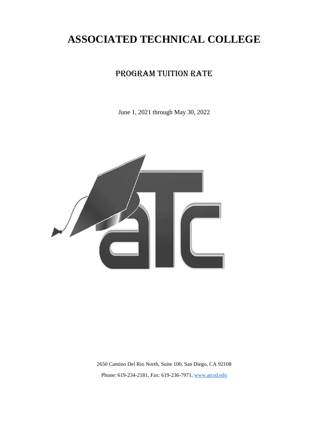# **ASSOCIATED TECHNICAL COLLEGE**

# PROGRAM TUITION RATE

June 1, 2021 through May 30, 2022



2650 Camino Del Rio North, Suite 100, San Diego, CA 92108 Phone: 619-234-2181, Fax: 619-236-7971, [www.atcsd.edu](http://www.atcsd.edu/)